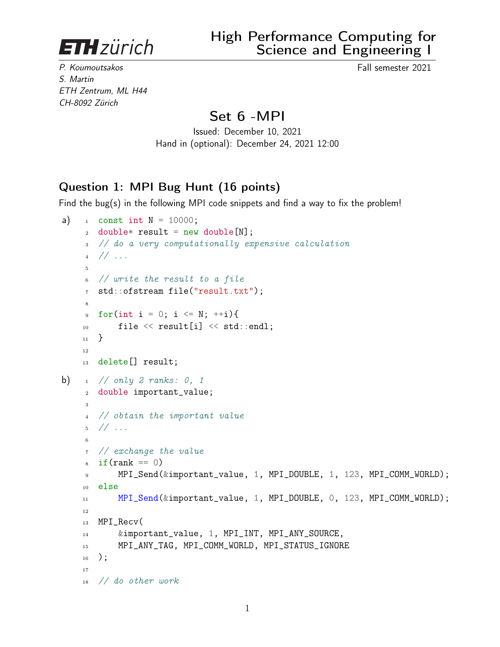**ETH**zürich

High Performance Computing for Science and Engineering I

P. Koumoutsakos Fall semester 2021 S. Martin ETH Zentrum, ML H44 CH-8092 Zürich

## Set 6 -MPI

Issued: December 10, 2021 Hand in (optional): December 24, 2021 12:00

## Question 1: MPI Bug Hunt (16 points)

Find the bug(s) in the following MPI code snippets and find a way to fix the problem!

```
a) _1 const int N = 10000;
    2 double* result = new double[N];3 // do a very computationally expensive calculation
    4 // ...
    5
    6 // write the result to a file
    7 std::ofstream file("result.txt");
     8
    9 for(int i = 0; i <= N; ++i){
    10 file \le result[i] \le std::endl;
    11 }
    12
    13 delete[] result;
b) \frac{1}{1} // only 2 ranks: 0, 1
    2 double important_value;
    3
      4 // obtain the important value
    5 / / ...6
    7 // exchange the value
    s if (rank == 0)
    9 MPI_Send(&important_value, 1, MPI_DOUBLE, 1, 123, MPI_COMM_WORLD);
    10 else
    11 MPI_Send(&important_value, 1, MPI_DOUBLE, 0, 123, MPI_COMM_WORLD);
    12
    13 MPI_Recv(
    14 &important_value, 1, MPI_INT, MPI_ANY_SOURCE,
    15 MPI_ANY_TAG, MPI_COMM_WORLD, MPI_STATUS_IGNORE
    _{16} );
    17
    18 // do other work
```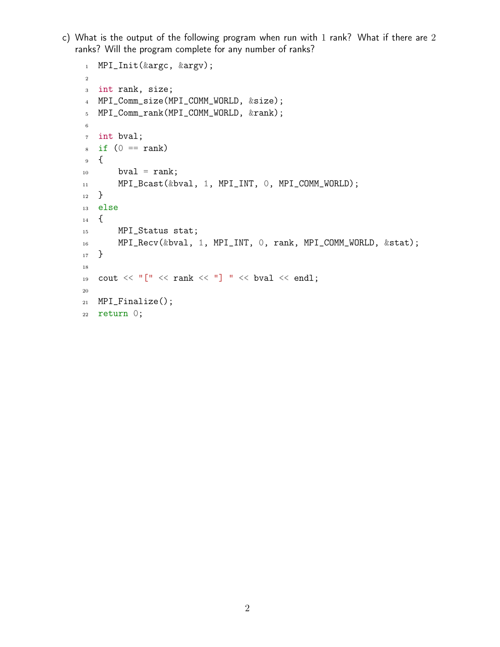c) What is the output of the following program when run with 1 rank? What if there are 2 ranks? Will the program complete for any number of ranks?

```
1 MPI_Init(&argc, &argv);
2
3 int rank, size;
4 MPI_Comm_size(MPI_COMM_WORLD, &size);
5 MPI_Comm_rank(MPI_COMM_WORLD, &rank);
6
7 int bval;
s if (0 == rank)9 {
10 bval = rank;
11 MPI_Bcast(&bval, 1, MPI_INT, 0, MPI_COMM_WORLD);
12 }
13 else
14 \quad \{15 MPI_Status stat;
16 MPI_Recv(&bval, 1, MPI_INT, 0, rank, MPI_COMM_WORLD, &stat);
17 }
18
19 cout \langle\langle "["\langle rank \langle "] "\langle bval \langle endl;
20
21 MPI_Finalize();
22 return 0;
```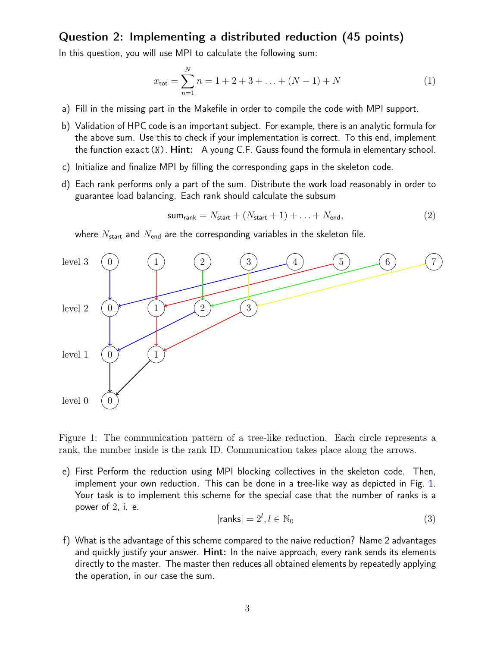## Question 2: Implementing a distributed reduction (45 points)

In this question, you will use MPI to calculate the following sum:

$$
x_{\text{tot}} = \sum_{n=1}^{N} n = 1 + 2 + 3 + \dots + (N - 1) + N \tag{1}
$$

- a) Fill in the missing part in the Makefile in order to compile the code with MPI support.
- b) Validation of HPC code is an important subject. For example, there is an analytic formula for the above sum. Use this to check if your implementation is correct. To this end, implement the function exact(N). Hint: A young C.F. Gauss found the formula in elementary school.
- c) Initialize and finalize MPI by filling the corresponding gaps in the skeleton code.
- d) Each rank performs only a part of the sum. Distribute the work load reasonably in order to guarantee load balancing. Each rank should calculate the subsum

$$
sum_{\text{rank}} = N_{\text{start}} + (N_{\text{start}} + 1) + \ldots + N_{\text{end}},\tag{2}
$$

where  $N_{\text{start}}$  and  $N_{\text{end}}$  are the corresponding variables in the skeleton file.



<span id="page-2-0"></span>Figure 1: The communication pattern of a tree-like reduction. Each circle represents a rank, the number inside is the rank ID. Communication takes place along the arrows.

e) First Perform the reduction using MPI blocking collectives in the skeleton code. Then, implement your own reduction. This can be done in a tree-like way as depicted in Fig. [1.](#page-2-0) Your task is to implement this scheme for the special case that the number of ranks is a power of 2, i. e.

$$
|\mathsf{ranks}| = 2^l, l \in \mathbb{N}_0 \tag{3}
$$

f) What is the advantage of this scheme compared to the naive reduction? Name 2 advantages and quickly justify your answer. Hint: In the naive approach, every rank sends its elements directly to the master. The master then reduces all obtained elements by repeatedly applying the operation, in our case the sum.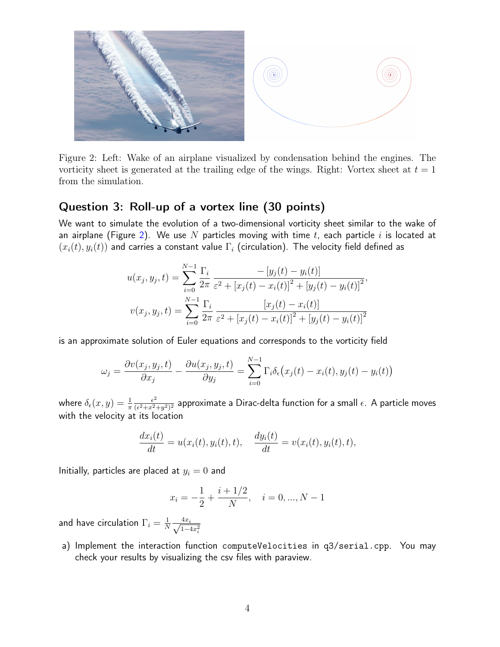

Figure 2: Left: Wake of an airplane visualized by condensation behind the engines. The vorticity sheet is generated at the trailing edge of the wings. Right: Vortex sheet at  $t = 1$ from the simulation.

## Question 3: Roll-up of a vortex line (30 points)

We want to simulate the evolution of a two-dimensional vorticity sheet similar to the wake of an airplane (Figure [2\)](#page-3-0). We use  $N$  particles moving with time  $t$ , each particle  $i$  is located at  $(x_i(t), y_i(t))$  and carries a constant value  $\Gamma_i$  (circulation). The velocity field defined as

<span id="page-3-0"></span>
$$
u(x_j, y_j, t) = \sum_{i=0}^{N-1} \frac{\Gamma_i}{2\pi} \frac{-[y_j(t) - y_i(t)]}{\varepsilon^2 + [x_j(t) - x_i(t)]^2 + [y_j(t) - y_i(t)]^2},
$$
  

$$
v(x_j, y_j, t) = \sum_{i=0}^{N-1} \frac{\Gamma_i}{2\pi} \frac{[x_j(t) - x_i(t)]}{\varepsilon^2 + [x_j(t) - x_i(t)]^2 + [y_j(t) - y_i(t)]^2}
$$

is an approximate solution of Euler equations and corresponds to the vorticity field

$$
\omega_j = \frac{\partial v(x_j, y_j, t)}{\partial x_j} - \frac{\partial u(x_j, y_j, t)}{\partial y_j} = \sum_{i=0}^{N-1} \Gamma_i \delta_{\epsilon}(x_j(t) - x_i(t), y_j(t) - y_i(t))
$$

where  $\delta_\epsilon(x,y) = \frac{1}{\pi}$  $\epsilon^2$  $\frac{\epsilon^2}{(\epsilon^2+x^2+y^2)^2}$  approximate a Dirac-delta function for a small  $\epsilon$ . A particle moves with the velocity at its location

$$
\frac{dx_i(t)}{dt} = u(x_i(t), y_i(t), t), \quad \frac{dy_i(t)}{dt} = v(x_i(t), y_i(t), t),
$$

Initially, particles are placed at  $y_i = 0$  and

$$
x_i = -\frac{1}{2} + \frac{i + 1/2}{N}, \quad i = 0, ..., N - 1
$$

and have circulation  $\Gamma_i = \frac{1}{N}$  $\frac{1}{N} \frac{4x_i}{\sqrt{1-\epsilon}}$  $1 - 4x_i^2$ 

a) Implement the interaction function computeVelocities in q3/serial.cpp. You may check your results by visualizing the csv files with paraview.